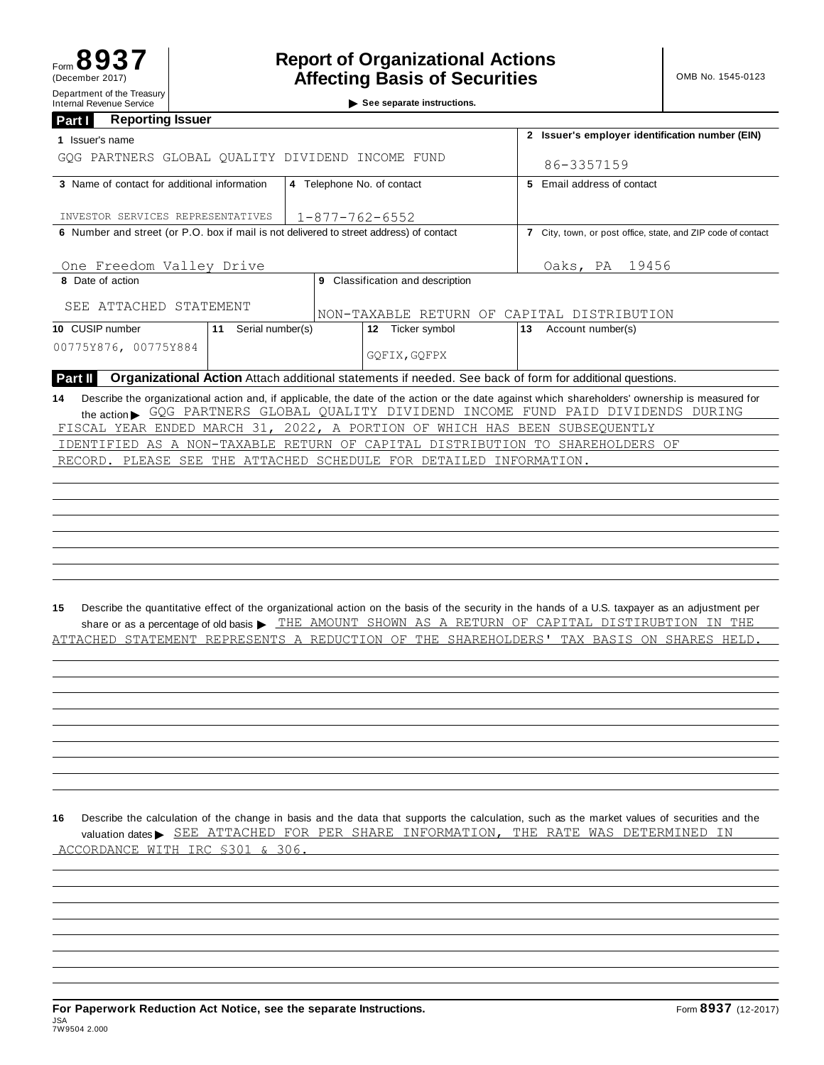See separate instructions.

| <b>Reporting Issuer</b><br>Part I                                                       |                            |                                                              |                                                                            |                                                                                                                                                                                                                                                        |  |  |  |  |
|-----------------------------------------------------------------------------------------|----------------------------|--------------------------------------------------------------|----------------------------------------------------------------------------|--------------------------------------------------------------------------------------------------------------------------------------------------------------------------------------------------------------------------------------------------------|--|--|--|--|
| 1 Issuer's name                                                                         |                            | 2 Issuer's employer identification number (EIN)              |                                                                            |                                                                                                                                                                                                                                                        |  |  |  |  |
| GOG PARTNERS GLOBAL QUALITY DIVIDEND INCOME FUND                                        |                            | 86-3357159                                                   |                                                                            |                                                                                                                                                                                                                                                        |  |  |  |  |
| 3 Name of contact for additional information                                            | 4 Telephone No. of contact | 5 Email address of contact                                   |                                                                            |                                                                                                                                                                                                                                                        |  |  |  |  |
| INVESTOR SERVICES REPRESENTATIVES                                                       |                            |                                                              | $1 - 877 - 762 - 6552$                                                     |                                                                                                                                                                                                                                                        |  |  |  |  |
| 6 Number and street (or P.O. box if mail is not delivered to street address) of contact |                            | 7 City, town, or post office, state, and ZIP code of contact |                                                                            |                                                                                                                                                                                                                                                        |  |  |  |  |
| One Freedom Valley Drive                                                                |                            | Oaks, PA<br>19456                                            |                                                                            |                                                                                                                                                                                                                                                        |  |  |  |  |
| 8 Date of action                                                                        |                            | 9 Classification and description                             |                                                                            |                                                                                                                                                                                                                                                        |  |  |  |  |
| SEE ATTACHED STATEMENT                                                                  |                            |                                                              | NON-TAXABLE RETURN OF CAPITAL DISTRIBUTION                                 |                                                                                                                                                                                                                                                        |  |  |  |  |
| 10 CUSIP number                                                                         | 11 Serial number(s)        |                                                              | 12 Ticker symbol                                                           | 13<br>Account number(s)                                                                                                                                                                                                                                |  |  |  |  |
| 00775Y876, 00775Y884                                                                    |                            |                                                              |                                                                            |                                                                                                                                                                                                                                                        |  |  |  |  |
| Part II                                                                                 |                            |                                                              |                                                                            | Organizational Action Attach additional statements if needed. See back of form for additional questions.                                                                                                                                               |  |  |  |  |
| 14                                                                                      |                            |                                                              | FISCAL YEAR ENDED MARCH 31, 2022, A PORTION OF WHICH HAS BEEN SUBSEQUENTLY | Describe the organizational action and, if applicable, the date of the action or the date against which shareholders' ownership is measured for<br>the action SQG PARTNERS GLOBAL QUALITY DIVIDEND INCOME FUND PAID DIVIDENDS DURING                   |  |  |  |  |
|                                                                                         |                            |                                                              |                                                                            | IDENTIFIED AS A NON-TAXABLE RETURN OF CAPITAL DISTRIBUTION TO SHAREHOLDERS OF                                                                                                                                                                          |  |  |  |  |
|                                                                                         |                            |                                                              | RECORD. PLEASE SEE THE ATTACHED SCHEDULE FOR DETAILED INFORMATION.         |                                                                                                                                                                                                                                                        |  |  |  |  |
|                                                                                         |                            |                                                              |                                                                            |                                                                                                                                                                                                                                                        |  |  |  |  |
|                                                                                         |                            |                                                              |                                                                            |                                                                                                                                                                                                                                                        |  |  |  |  |
|                                                                                         |                            |                                                              |                                                                            |                                                                                                                                                                                                                                                        |  |  |  |  |
|                                                                                         |                            |                                                              |                                                                            |                                                                                                                                                                                                                                                        |  |  |  |  |
|                                                                                         |                            |                                                              |                                                                            |                                                                                                                                                                                                                                                        |  |  |  |  |
|                                                                                         |                            |                                                              |                                                                            |                                                                                                                                                                                                                                                        |  |  |  |  |
|                                                                                         |                            |                                                              |                                                                            |                                                                                                                                                                                                                                                        |  |  |  |  |
|                                                                                         |                            |                                                              |                                                                            |                                                                                                                                                                                                                                                        |  |  |  |  |
| 15                                                                                      |                            |                                                              |                                                                            | Describe the quantitative effect of the organizational action on the basis of the security in the hands of a U.S. taxpayer as an adjustment per<br>share or as a percentage of old basis > THE AMOUNT SHOWN AS A RETURN OF CAPITAL DISTIRUBTION IN THE |  |  |  |  |
|                                                                                         |                            |                                                              |                                                                            | ATTACHED STATEMENT REPRESENTS A REDUCTION OF THE SHAREHOLDERS' TAX BASIS ON SHARES HELD                                                                                                                                                                |  |  |  |  |
|                                                                                         |                            |                                                              |                                                                            |                                                                                                                                                                                                                                                        |  |  |  |  |
|                                                                                         |                            |                                                              |                                                                            |                                                                                                                                                                                                                                                        |  |  |  |  |
|                                                                                         |                            |                                                              |                                                                            |                                                                                                                                                                                                                                                        |  |  |  |  |
|                                                                                         |                            |                                                              |                                                                            |                                                                                                                                                                                                                                                        |  |  |  |  |
|                                                                                         |                            |                                                              |                                                                            |                                                                                                                                                                                                                                                        |  |  |  |  |
|                                                                                         |                            |                                                              |                                                                            |                                                                                                                                                                                                                                                        |  |  |  |  |

**16** Describe the calculation of the change in basis and the data that supports the calculation, such as the market values of securities and the Describe the calculation of the change in basis and the data that supports the calculation, such as the market values of securities and<br>valuation dates > SEE ATTACHED FOR PER SHARE INFORMATION, THE RATE WAS DETERMINED IN ACCORDANCE WITH IRC §301 & 306.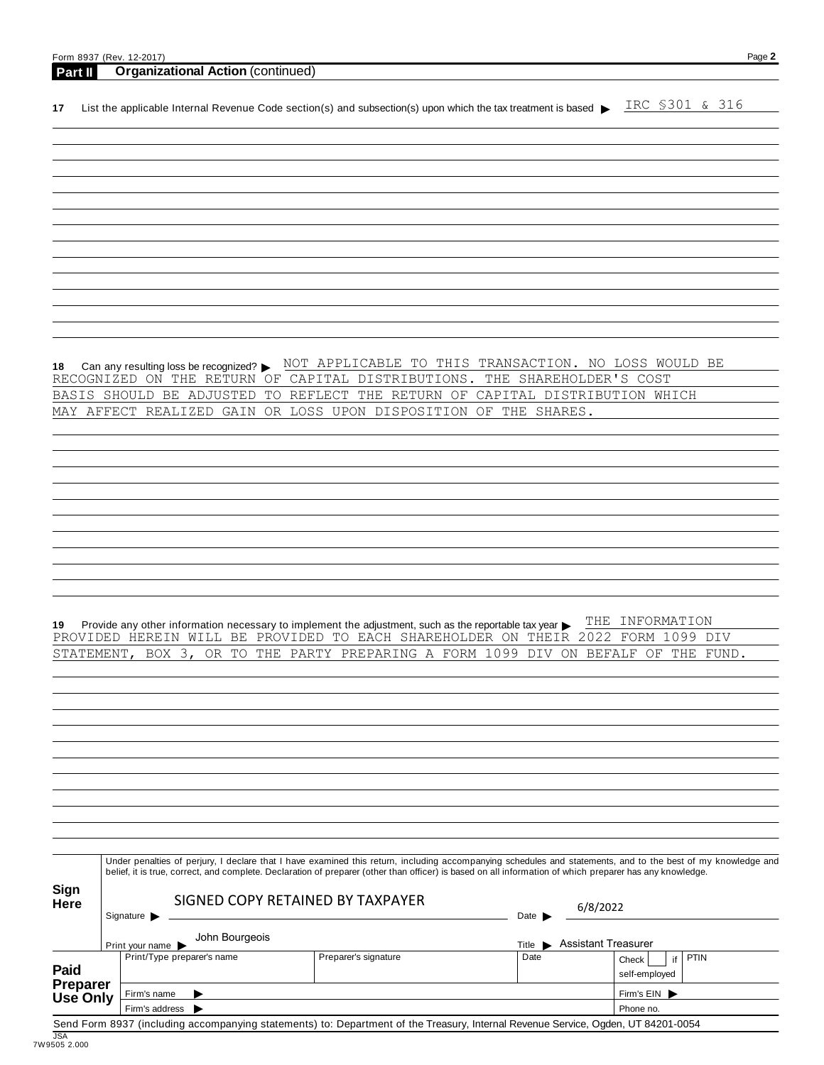| Part II          | Form 8937 (Rev. 12-2017)<br><b>Organizational Action (continued)</b>                                                                                                                                                                                                                                                     |                                                                               |                                                            | Page 2                     |
|------------------|--------------------------------------------------------------------------------------------------------------------------------------------------------------------------------------------------------------------------------------------------------------------------------------------------------------------------|-------------------------------------------------------------------------------|------------------------------------------------------------|----------------------------|
| 17               | List the applicable Internal Revenue Code section(s) and subsection(s) upon which the tax treatment is based $\blacktriangleright$                                                                                                                                                                                       |                                                                               |                                                            | IRC \$301 & 316            |
|                  |                                                                                                                                                                                                                                                                                                                          |                                                                               |                                                            |                            |
|                  |                                                                                                                                                                                                                                                                                                                          |                                                                               |                                                            |                            |
|                  |                                                                                                                                                                                                                                                                                                                          |                                                                               |                                                            |                            |
|                  |                                                                                                                                                                                                                                                                                                                          |                                                                               |                                                            |                            |
|                  |                                                                                                                                                                                                                                                                                                                          |                                                                               |                                                            |                            |
|                  |                                                                                                                                                                                                                                                                                                                          |                                                                               |                                                            |                            |
|                  |                                                                                                                                                                                                                                                                                                                          |                                                                               |                                                            |                            |
|                  |                                                                                                                                                                                                                                                                                                                          |                                                                               |                                                            |                            |
|                  |                                                                                                                                                                                                                                                                                                                          |                                                                               |                                                            |                            |
|                  |                                                                                                                                                                                                                                                                                                                          |                                                                               |                                                            |                            |
|                  |                                                                                                                                                                                                                                                                                                                          |                                                                               |                                                            |                            |
| 18               | Can any resulting loss be recognized? ▶                                                                                                                                                                                                                                                                                  | NOT APPLICABLE TO THIS TRANSACTION. NO LOSS WOULD BE                          |                                                            |                            |
|                  | RECOGNIZED ON THE RETURN OF<br>BASIS SHOULD BE ADJUSTED                                                                                                                                                                                                                                                                  | CAPITAL DISTRIBUTIONS.<br>TO REFLECT THE RETURN OF CAPITAL DISTRIBUTION WHICH | THE SHAREHOLDER'S COST                                     |                            |
|                  | MAY AFFECT REALIZED GAIN                                                                                                                                                                                                                                                                                                 | OR LOSS UPON DISPOSITION OF THE SHARES.                                       |                                                            |                            |
|                  |                                                                                                                                                                                                                                                                                                                          |                                                                               |                                                            |                            |
|                  |                                                                                                                                                                                                                                                                                                                          |                                                                               |                                                            |                            |
|                  |                                                                                                                                                                                                                                                                                                                          |                                                                               |                                                            |                            |
|                  |                                                                                                                                                                                                                                                                                                                          |                                                                               |                                                            |                            |
|                  |                                                                                                                                                                                                                                                                                                                          |                                                                               |                                                            |                            |
|                  |                                                                                                                                                                                                                                                                                                                          |                                                                               |                                                            |                            |
|                  |                                                                                                                                                                                                                                                                                                                          |                                                                               |                                                            |                            |
|                  |                                                                                                                                                                                                                                                                                                                          |                                                                               |                                                            |                            |
|                  |                                                                                                                                                                                                                                                                                                                          |                                                                               |                                                            |                            |
| 19               | Provide any other information necessary to implement the adjustment, such as the reportable tax year ><br>PROVIDED HEREIN WILL BE PROVIDED TO EACH SHAREHOLDER ON THEIR 2022 FORM 1099 DIV                                                                                                                               |                                                                               |                                                            | THE INFORMATION            |
| STATEMENT,       | BOX<br>3,<br>OR TO<br>THE                                                                                                                                                                                                                                                                                                | PARTY<br>PREPARING A FORM                                                     | 1099<br>DIV<br>ON BEFALF                                   | ΟF<br>THE<br>FUND.         |
|                  |                                                                                                                                                                                                                                                                                                                          |                                                                               |                                                            |                            |
|                  |                                                                                                                                                                                                                                                                                                                          |                                                                               |                                                            |                            |
|                  |                                                                                                                                                                                                                                                                                                                          |                                                                               |                                                            |                            |
|                  |                                                                                                                                                                                                                                                                                                                          |                                                                               |                                                            |                            |
|                  |                                                                                                                                                                                                                                                                                                                          |                                                                               |                                                            |                            |
|                  |                                                                                                                                                                                                                                                                                                                          |                                                                               |                                                            |                            |
|                  |                                                                                                                                                                                                                                                                                                                          |                                                                               |                                                            |                            |
|                  |                                                                                                                                                                                                                                                                                                                          |                                                                               |                                                            |                            |
|                  |                                                                                                                                                                                                                                                                                                                          |                                                                               |                                                            |                            |
|                  | Under penalties of perjury, I declare that I have examined this return, including accompanying schedules and statements, and to the best of my knowledge and<br>belief, it is true, correct, and complete. Declaration of preparer (other than officer) is based on all information of which preparer has any knowledge. |                                                                               |                                                            |                            |
| Sign             |                                                                                                                                                                                                                                                                                                                          | SIGNED COPY RETAINED BY TAXPAYER                                              |                                                            |                            |
| Here             | Signature $\blacktriangleright$                                                                                                                                                                                                                                                                                          |                                                                               | 6/8/2022<br>Date                                           |                            |
|                  | John Bourgeois                                                                                                                                                                                                                                                                                                           |                                                                               |                                                            |                            |
|                  | Print your name<br>Print/Type preparer's name                                                                                                                                                                                                                                                                            | Preparer's signature                                                          | Assistant Treasurer<br>Title $\blacktriangleright$<br>Date | <b>PTIN</b><br>if<br>Check |
| Paid<br>Preparer |                                                                                                                                                                                                                                                                                                                          |                                                                               |                                                            | self-employed              |
| Use Only         | Firm's name                                                                                                                                                                                                                                                                                                              |                                                                               |                                                            | Firm's EIN                 |
|                  | Firm's address<br>▶<br>Send Form 8937 (including accompanying statements) to: Department of the Treasury, Internal Revenue Service, Ogden, UT 84201-0054                                                                                                                                                                 |                                                                               |                                                            | Phone no.                  |